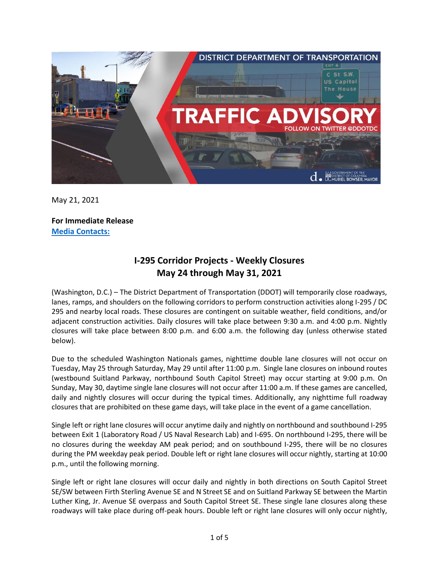

May 21, 2021

**For Immediate Release Media Contacts:**

## **I-295 Corridor Projects - Weekly Closures May 24 through May 31, 2021**

(Washington, D.C.) – The District Department of Transportation (DDOT) will temporarily close roadways, lanes, ramps, and shoulders on the following corridors to perform construction activities along I-295 / DC 295 and nearby local roads. These closures are contingent on suitable weather, field conditions, and/or adjacent construction activities. Daily closures will take place between 9:30 a.m. and 4:00 p.m. Nightly closures will take place between 8:00 p.m. and 6:00 a.m. the following day (unless otherwise stated below).

Due to the scheduled Washington Nationals games, nighttime double lane closures will not occur on Tuesday, May 25 through Saturday, May 29 until after 11:00 p.m. Single lane closures on inbound routes (westbound Suitland Parkway, northbound South Capitol Street) may occur starting at 9:00 p.m. On Sunday, May 30, daytime single lane closures will not occur after 11:00 a.m. If these games are cancelled, daily and nightly closures will occur during the typical times. Additionally, any nighttime full roadway closures that are prohibited on these game days, will take place in the event of a game cancellation.

Single left or right lane closures will occur anytime daily and nightly on northbound and southbound I-295 between Exit 1 (Laboratory Road / US Naval Research Lab) and I-695. On northbound I-295, there will be no closures during the weekday AM peak period; and on southbound I-295, there will be no closures during the PM weekday peak period. Double left or right lane closures will occur nightly, starting at 10:00 p.m., until the following morning.

Single left or right lane closures will occur daily and nightly in both directions on South Capitol Street SE/SW between Firth Sterling Avenue SE and N Street SE and on Suitland Parkway SE between the Martin Luther King, Jr. Avenue SE overpass and South Capitol Street SE. These single lane closures along these roadways will take place during off-peak hours. Double left or right lane closures will only occur nightly,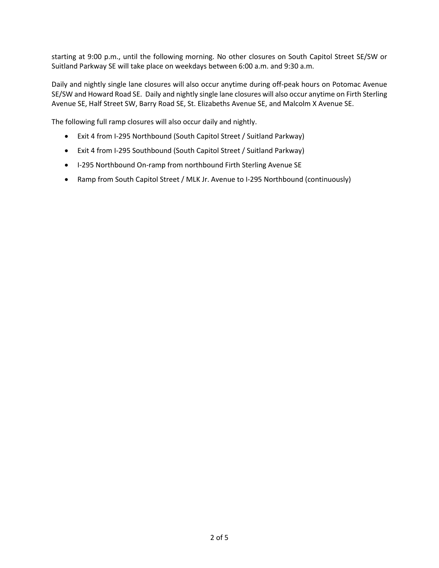starting at 9:00 p.m., until the following morning. No other closures on South Capitol Street SE/SW or Suitland Parkway SE will take place on weekdays between 6:00 a.m. and 9:30 a.m.

Daily and nightly single lane closures will also occur anytime during off-peak hours on Potomac Avenue SE/SW and Howard Road SE. Daily and nightly single lane closures will also occur anytime on Firth Sterling Avenue SE, Half Street SW, Barry Road SE, St. Elizabeths Avenue SE, and Malcolm X Avenue SE.

The following full ramp closures will also occur daily and nightly.

- Exit 4 from I-295 Northbound (South Capitol Street / Suitland Parkway)
- Exit 4 from I-295 Southbound (South Capitol Street / Suitland Parkway)
- I-295 Northbound On-ramp from northbound Firth Sterling Avenue SE
- Ramp from South Capitol Street / MLK Jr. Avenue to I-295 Northbound (continuously)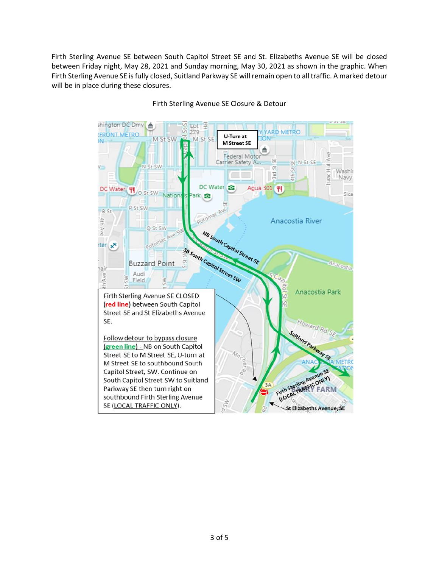Firth Sterling Avenue SE between South Capitol Street SE and St. Elizabeths Avenue SE will be closed between Friday night, May 28, 2021 and Sunday morning, May 30, 2021 as shown in the graphic. When Firth Sterling Avenue SE is fully closed, Suitland Parkway SE will remain open to all traffic. A marked detour will be in place during these closures.



Firth Sterling Avenue SE Closure & Detour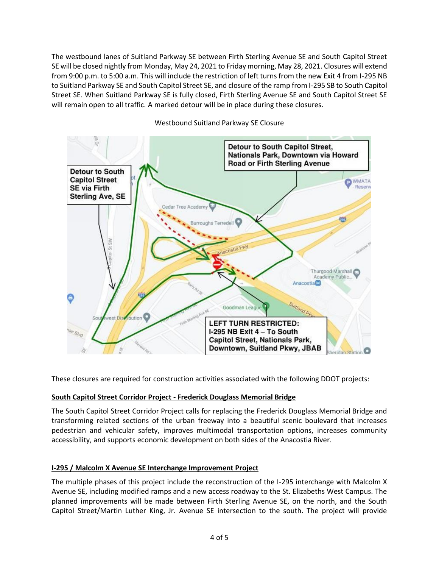The westbound lanes of Suitland Parkway SE between Firth Sterling Avenue SE and South Capitol Street SE will be closed nightly from Monday, May 24, 2021 to Friday morning, May 28, 2021. Closures will extend from 9:00 p.m. to 5:00 a.m. This will include the restriction of left turns from the new Exit 4 from I-295 NB to Suitland Parkway SE and South Capitol Street SE, and closure of the ramp from I-295 SB to South Capitol Street SE. When Suitland Parkway SE is fully closed, Firth Sterling Avenue SE and South Capitol Street SE will remain open to all traffic. A marked detour will be in place during these closures.



Westbound Suitland Parkway SE Closure

These closures are required for construction activities associated with the following DDOT projects:

## **South Capitol Street Corridor Project - Frederick Douglass Memorial Bridge**

The South Capitol Street Corridor Project calls for replacing the Frederick Douglass Memorial Bridge and transforming related sections of the urban freeway into a beautiful scenic boulevard that increases pedestrian and vehicular safety, improves multimodal transportation options, increases community accessibility, and supports economic development on both sides of the Anacostia River.

## **I-295 / Malcolm X Avenue SE Interchange Improvement Project**

The multiple phases of this project include the reconstruction of the I-295 interchange with Malcolm X Avenue SE, including modified ramps and a new access roadway to the St. Elizabeths West Campus. The planned improvements will be made between Firth Sterling Avenue SE, on the north, and the South Capitol Street/Martin Luther King, Jr. Avenue SE intersection to the south. The project will provide